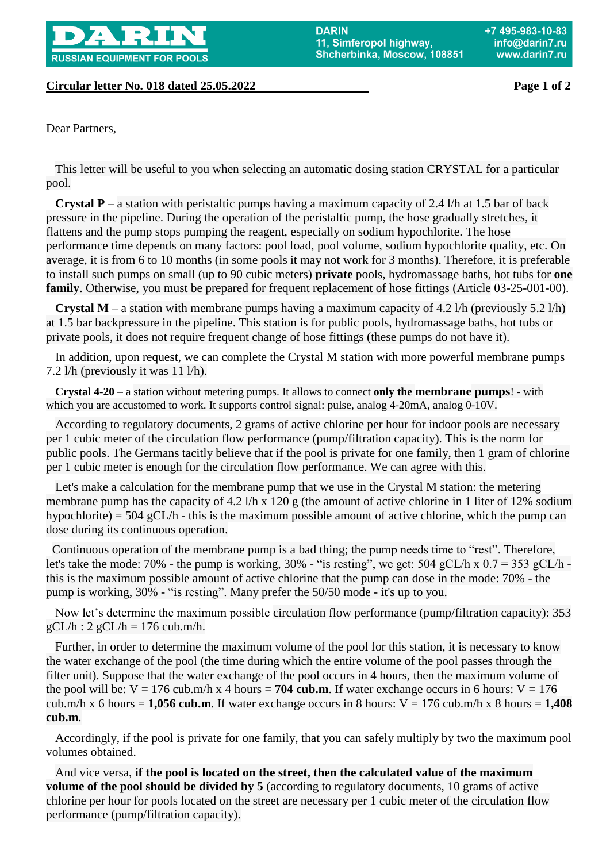

**Circular letter No. 018 dated 25.05.2022 Page 1 of 2**

Dear Partners,

 This letter will be useful to you when selecting an automatic dosing station CRYSTAL for a particular pool.

**Crystal P** – a station with peristaltic pumps having a maximum capacity of 2.4 l/h at 1.5 bar of back pressure in the pipeline. During the operation of the peristaltic pump, the hose gradually stretches, it flattens and the pump stops pumping the reagent, especially on sodium hypochlorite. The hose performance time depends on many factors: pool load, pool volume, sodium hypochlorite quality, etc. On average, it is from 6 to 10 months (in some pools it may not work for 3 months). Therefore, it is preferable to install such pumps on small (up to 90 cubic meters) **private** pools, hydromassage baths, hot tubs for **one family**. Otherwise, you must be prepared for frequent replacement of hose fittings (Article 03-25-001-00).

 **Crystal М** – a station with membrane pumps having a maximum capacity of 4.2 l/h (previously 5.2 l/h) at 1.5 bar backpressure in the pipeline. This station is for public pools, hydromassage baths, hot tubs or private pools, it does not require frequent change of hose fittings (these pumps do not have it).

 In addition, upon request, we can complete the Crystal M station with more powerful membrane pumps 7.2 l/h (previously it was 11 l/h).

 **Crystal 4-20** – a station without metering pumps. It allows to connect **only the membrane pumps**! - with which you are accustomed to work. It supports control signal: pulse, analog 4-20mA, analog 0-10V.

 According to regulatory documents, 2 grams of active chlorine per hour for indoor pools are necessary per 1 cubic meter of the circulation flow performance (pump/filtration capacity). This is the norm for public pools. The Germans tacitly believe that if the pool is private for one family, then 1 gram of chlorine per 1 cubic meter is enough for the circulation flow performance. We can agree with this.

 Let's make a calculation for the membrane pump that we use in the Crystal M station: the metering membrane pump has the capacity of 4.2 l/h x 120 g (the amount of active chlorine in 1 liter of 12% sodium hypochlorite) = 504 gCL/h - this is the maximum possible amount of active chlorine, which the pump can dose during its continuous operation.

Continuous operation of the membrane pump is a bad thing; the pump needs time to "rest". Therefore, let's take the mode: 70% - the pump is working, 30% - "is resting", we get: 504 gCL/h x  $0.7 = 353$  gCL/h this is the maximum possible amount of active chlorine that the pump can dose in the mode: 70% - the pump is working, 30% - "is resting". Many prefer the 50/50 mode - it's up to you.

 Now let's determine the maximum possible circulation flow performance (pump/filtration capacity): 353  $gCL/h$  : 2  $gCL/h = 176$  cub.m/h.

 Further, in order to determine the maximum volume of the pool for this station, it is necessary to know the water exchange of the pool (the time during which the entire volume of the pool passes through the filter unit). Suppose that the water exchange of the pool occurs in 4 hours, then the maximum volume of the pool will be:  $V = 176$  cub.m/h x 4 hours = **704 cub.m**. If water exchange occurs in 6 hours:  $V = 176$ cub.m/h x 6 hours =  $1,056$  cub.m. If water exchange occurs in 8 hours:  $V = 176$  cub.m/h x 8 hours =  $1,408$ **cub.m**.

 Accordingly, if the pool is private for one family, that you can safely multiply by two the maximum pool volumes obtained.

 And vice versa, **if the pool is located on the street, then the calculated value of the maximum volume of the pool should be divided by 5** (according to regulatory documents, 10 grams of active chlorine per hour for pools located on the street are necessary per 1 cubic meter of the circulation flow performance (pump/filtration capacity).